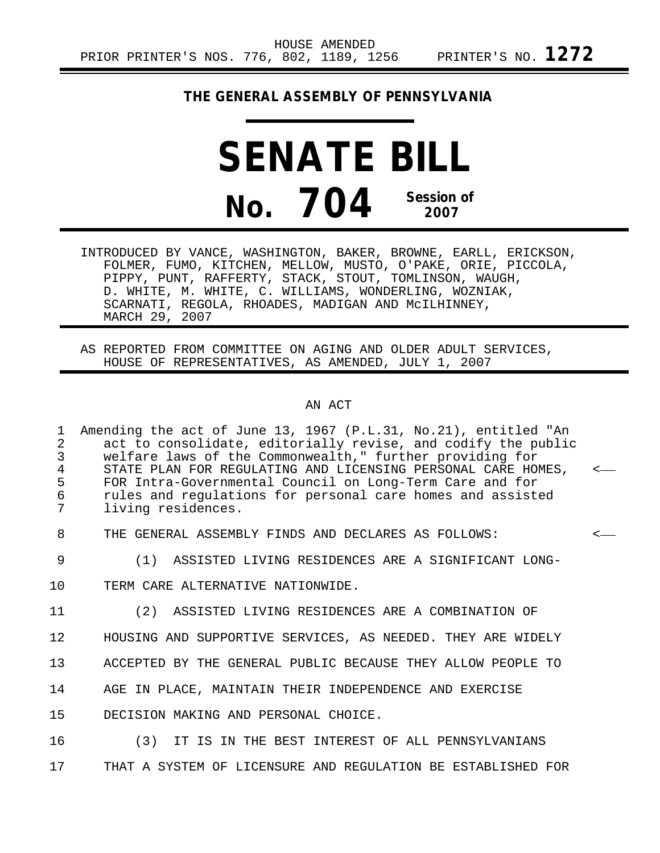### **THE GENERAL ASSEMBLY OF PENNSYLVANIA**

# **SENATE BILL No. 704 Session of 2007**

INTRODUCED BY VANCE, WASHINGTON, BAKER, BROWNE, EARLL, ERICKSON, FOLMER, FUMO, KITCHEN, MELLOW, MUSTO, O'PAKE, ORIE, PICCOLA, PIPPY, PUNT, RAFFERTY, STACK, STOUT, TOMLINSON, WAUGH, D. WHITE, M. WHITE, C. WILLIAMS, WONDERLING, WOZNIAK, SCARNATI, REGOLA, RHOADES, MADIGAN AND McILHINNEY, MARCH 29, 2007

AS REPORTED FROM COMMITTEE ON AGING AND OLDER ADULT SERVICES, HOUSE OF REPRESENTATIVES, AS AMENDED, JULY 1, 2007

#### AN ACT

1 Amending the act of June 13, 1967 (P.L.31, No.21), entitled "An 2 act to consolidate, editorially revise, and codify the public<br>3 welfare laws of the Commonwealth," further providing for 3 welfare laws of the Commonwealth," further providing for<br>4 STATE PLAN FOR REGULATING AND LICENSING PERSONAL CARE HO 4 STATE PLAN FOR REGULATING AND LICENSING PERSONAL CARE HOMES,<br>5 FOR Intra-Governmental Council on Long-Term Care and for 5 FOR Intra-Governmental Council on Long-Term Care and for<br>6 Tules and requiations for personal care homes and assist 6 rules and regulations for personal care homes and assisted<br>7 living residences living residences.

8 THE GENERAL ASSEMBLY FINDS AND DECLARES AS FOLLOWS: <

- 9 (1) ASSISTED LIVING RESIDENCES ARE A SIGNIFICANT LONG-
- 10 TERM CARE ALTERNATIVE NATIONWIDE.

11 (2) ASSISTED LIVING RESIDENCES ARE A COMBINATION OF

12 HOUSING AND SUPPORTIVE SERVICES, AS NEEDED. THEY ARE WIDELY

13 ACCEPTED BY THE GENERAL PUBLIC BECAUSE THEY ALLOW PEOPLE TO

14 AGE IN PLACE, MAINTAIN THEIR INDEPENDENCE AND EXERCISE

15 DECISION MAKING AND PERSONAL CHOICE.

16 (3) IT IS IN THE BEST INTEREST OF ALL PENNSYLVANIANS 17 THAT A SYSTEM OF LICENSURE AND REGULATION BE ESTABLISHED FOR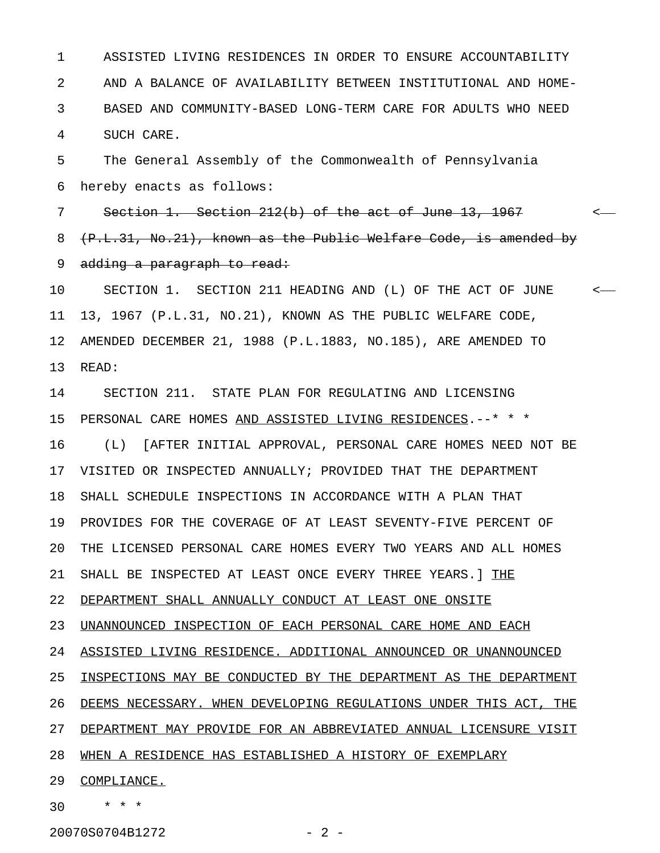1 ASSISTED LIVING RESIDENCES IN ORDER TO ENSURE ACCOUNTABILITY 2 AND A BALANCE OF AVAILABILITY BETWEEN INSTITUTIONAL AND HOME-3 BASED AND COMMUNITY-BASED LONG-TERM CARE FOR ADULTS WHO NEED 4 SUCH CARE.

5 The General Assembly of the Commonwealth of Pennsylvania 6 hereby enacts as follows:

7 Section 1. Section 212(b) of the act of June 13, 1967 <-8 (P.L.31, No.21), known as the Public Welfare Code, is amended by 9 adding a paragraph to read:

10 SECTION 1. SECTION 211 HEADING AND (L) OF THE ACT OF JUNE < 11 13, 1967 (P.L.31, NO.21), KNOWN AS THE PUBLIC WELFARE CODE, 12 AMENDED DECEMBER 21, 1988 (P.L.1883, NO.185), ARE AMENDED TO 13 READ:

14 SECTION 211. STATE PLAN FOR REGULATING AND LICENSING 15 PERSONAL CARE HOMES AND ASSISTED LIVING RESIDENCES.--\* \* \* 16 (L) [AFTER INITIAL APPROVAL, PERSONAL CARE HOMES NEED NOT BE 17 VISITED OR INSPECTED ANNUALLY; PROVIDED THAT THE DEPARTMENT 18 SHALL SCHEDULE INSPECTIONS IN ACCORDANCE WITH A PLAN THAT 19 PROVIDES FOR THE COVERAGE OF AT LEAST SEVENTY-FIVE PERCENT OF 20 THE LICENSED PERSONAL CARE HOMES EVERY TWO YEARS AND ALL HOMES 21 SHALL BE INSPECTED AT LEAST ONCE EVERY THREE YEARS. ] THE 22 DEPARTMENT SHALL ANNUALLY CONDUCT AT LEAST ONE ONSITE 23 UNANNOUNCED INSPECTION OF EACH PERSONAL CARE HOME AND EACH 24 ASSISTED LIVING RESIDENCE. ADDITIONAL ANNOUNCED OR UNANNOUNCED 25 INSPECTIONS MAY BE CONDUCTED BY THE DEPARTMENT AS THE DEPARTMENT 26 DEEMS NECESSARY. WHEN DEVELOPING REGULATIONS UNDER THIS ACT, THE 27 DEPARTMENT MAY PROVIDE FOR AN ABBREVIATED ANNUAL LICENSURE VISIT 28 WHEN A RESIDENCE HAS ESTABLISHED A HISTORY OF EXEMPLARY 29 COMPLIANCE.

20070S0704B1272 - 2 -

30 \* \* \*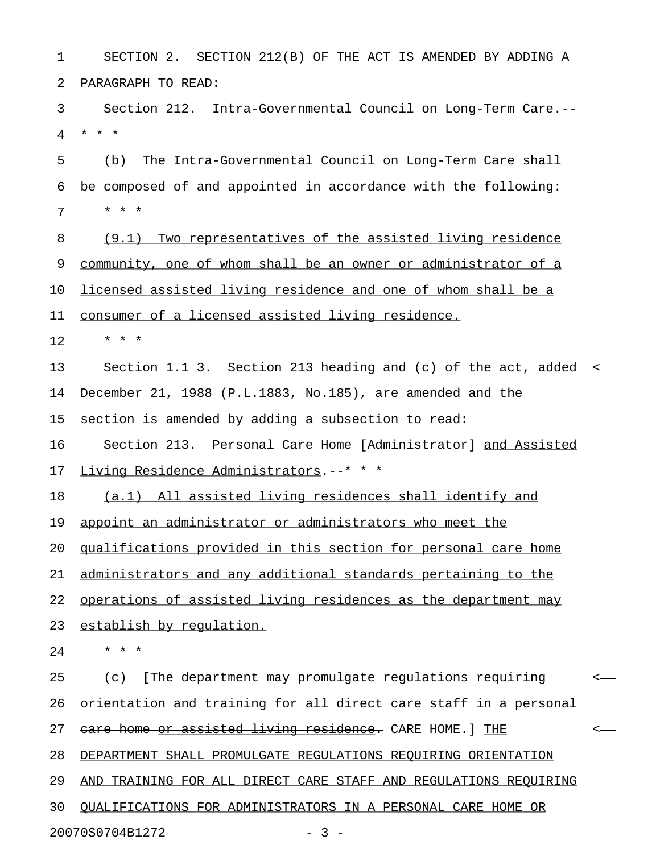1 SECTION 2. SECTION 212(B) OF THE ACT IS AMENDED BY ADDING A 2 PARAGRAPH TO READ:

3 Section 212. Intra-Governmental Council on Long-Term Care.-- 4 \* \* \*

5 (b) The Intra-Governmental Council on Long-Term Care shall 6 be composed of and appointed in accordance with the following: 7 \* \* \*

8 (9.1) Two representatives of the assisted living residence 9 community, one of whom shall be an owner or administrator of a 10 <u>licensed assisted living residence and one of whom shall be a</u>

11 consumer of a licensed assisted living residence.

 $12 + * * *$ 

13 Section 1.1 3. Section 213 heading and (c) of the act, added <-14 December 21, 1988 (P.L.1883, No.185), are amended and the 15 section is amended by adding a subsection to read:

16 Section 213. Personal Care Home [Administrator] and Assisted \_\_\_\_\_\_\_\_\_\_\_\_ 17 Living Residence Administrators.--\* \* \*

18 (a.1) All assisted living residences shall identify and

19 appoint an administrator or administrators who meet the

20 qualifications provided in this section for personal care home

21 administrators and any additional standards pertaining to the

22 operations of assisted living residences as the department may

23 establish by requlation.

24 \* \* \*

25 (c) [The department may promulgate regulations requiring < **[** 26 orientation and training for all direct care staff in a personal 27 care home or assisted living residence. CARE HOME.] THE  $\longleftarrow$ 28 DEPARTMENT SHALL PROMULGATE REGULATIONS REQUIRING ORIENTATION 29 AND TRAINING FOR ALL DIRECT CARE STAFF AND REGULATIONS REQUIRING 30 OUALIFICATIONS FOR ADMINISTRATORS IN A PERSONAL CARE HOME OR

20070S0704B1272 - 3 -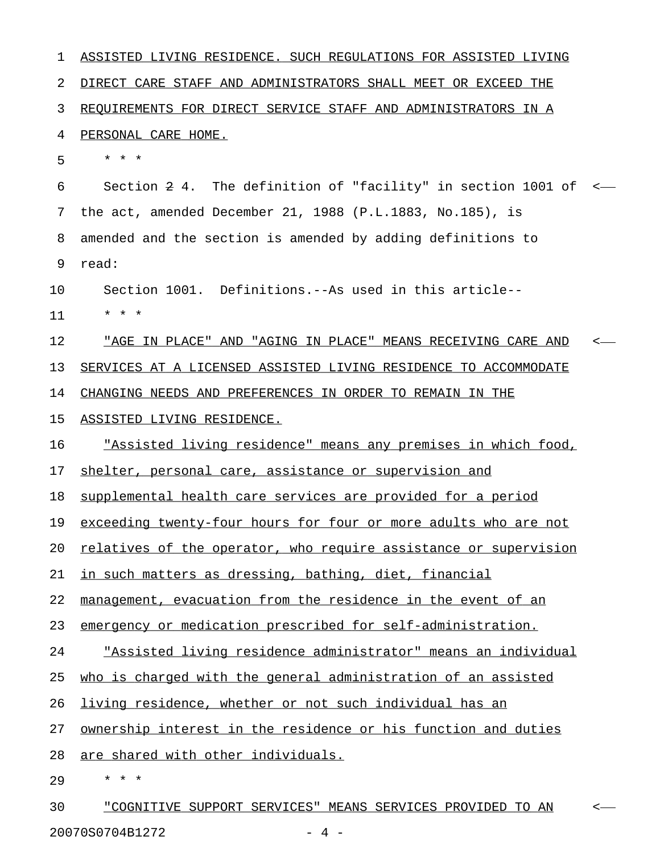1 ASSISTED LIVING RESIDENCE. SUCH REGULATIONS FOR ASSISTED LIVING 2 DIRECT CARE STAFF AND ADMINISTRATORS SHALL MEET OR EXCEED THE 3 REQUIREMENTS FOR DIRECT SERVICE STAFF AND ADMINISTRATORS IN A 4 **PERSONAL CARE HOME.** 5 \* \* \* 6 Section 2 4. The definition of "facility" in section 1001 of < 7 the act, amended December 21, 1988 (P.L.1883, No.185), is 8 amended and the section is amended by adding definitions to 9 read: 10 Section 1001. Definitions.--As used in this article-- 11 \* \* \* 12 "AGE IN PLACE" AND "AGING IN PLACE" MEANS RECEIVING CARE AND < \_\_\_\_\_\_\_\_\_\_\_\_\_\_\_\_\_\_\_\_\_\_\_\_\_\_\_\_\_\_\_\_\_\_\_\_\_\_\_\_\_\_\_\_\_\_\_\_\_\_\_\_\_\_\_\_\_\_\_\_ 13 SERVICES AT A LICENSED ASSISTED LIVING RESIDENCE TO ACCOMMODATE 14 CHANGING NEEDS AND PREFERENCES IN ORDER TO REMAIN IN THE 15 ASSISTED LIVING RESIDENCE. 16 "Assisted living residence" means any premises in which food, 17 shelter, personal care, assistance or supervision and 18 supplemental health care services are provided for a period 19 exceeding twenty-four hours for four or more adults who are not 20 relatives of the operator, who require assistance or supervision 21 in such matters as dressing, bathing, diet, financial 22 management, evacuation from the residence in the event of an 23 emergency or medication prescribed for self-administration. 24 "Assisted living residence administrator" means an individual 25 who is charged with the general administration of an assisted 26 living residence, whether or not such individual has an 27 ownership interest in the residence or his function and duties 28 are shared with other individuals. 29 \* \* \* 30 "COGNITIVE SUPPORT SERVICES" MEANS SERVICES PROVIDED TO AN <-

20070S0704B1272 - 4 -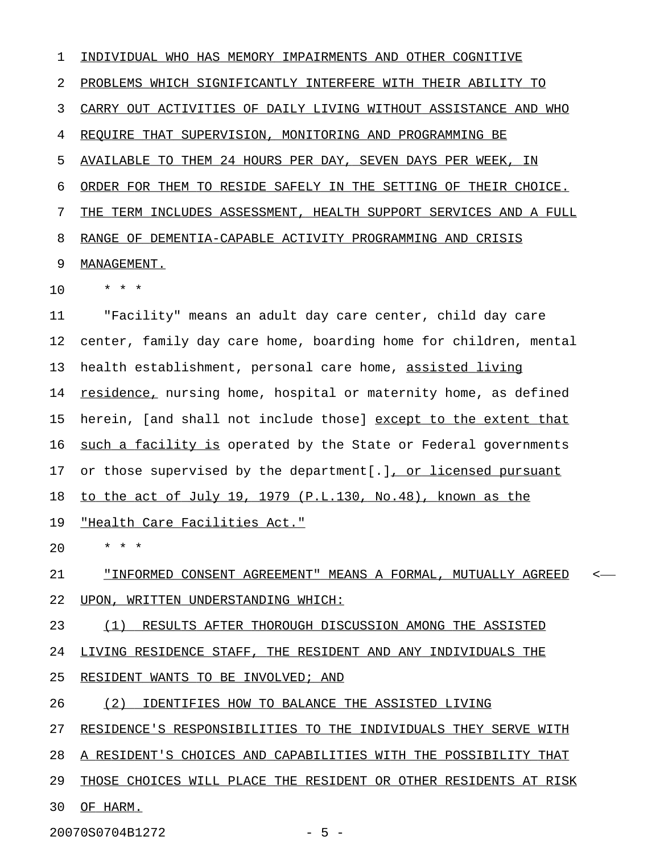1 INDIVIDUAL WHO HAS MEMORY IMPAIRMENTS AND OTHER COGNITIVE 2 PROBLEMS WHICH SIGNIFICANTLY INTERFERE WITH THEIR ABILITY TO 3 CARRY OUT ACTIVITIES OF DAILY LIVING WITHOUT ASSISTANCE AND WHO 4 REQUIRE THAT SUPERVISION, MONITORING AND PROGRAMMING BE 5 AVAILABLE TO THEM 24 HOURS PER DAY, SEVEN DAYS PER WEEK, IN 6 ORDER FOR THEM TO RESIDE SAFELY IN THE SETTING OF THEIR CHOICE. 7 THE TERM INCLUDES ASSESSMENT, HEALTH SUPPORT SERVICES AND A FULL 8 RANGE OF DEMENTIA-CAPABLE ACTIVITY PROGRAMMING AND CRISIS 9 MANAGEMENT. 10 \* \* \* 11 "Facility" means an adult day care center, child day care 12 center, family day care home, boarding home for children, mental 13 health establishment, personal care home, assisted living 14 residence, nursing home, hospital or maternity home, as defined 15 herein, [and shall not include those] except to the extent that 16 such a facility is operated by the State or Federal governments 17 or those supervised by the department[.], or licensed pursuant 18 to the act of July 19, 1979 (P.L.130, No.48), known as the 19 "Health Care Facilities Act." 20 \* \* \* 21 "INFORMED CONSENT AGREEMENT" MEANS A FORMAL, MUTUALLY AGREED < \_\_\_\_\_\_\_\_\_\_\_\_\_\_\_\_\_\_\_\_\_\_\_\_\_\_\_\_\_\_\_\_\_\_\_\_\_\_\_\_\_\_\_\_\_\_\_\_\_\_\_\_\_\_\_\_\_\_\_\_ 22 UPON, WRITTEN UNDERSTANDING WHICH: 23 (1) RESULTS AFTER THOROUGH DISCUSSION AMONG THE ASSISTED 24 LIVING RESIDENCE STAFF, THE RESIDENT AND ANY INDIVIDUALS THE 25 RESIDENT WANTS TO BE INVOLVED; AND

- 26 (2) IDENTIFIES HOW TO BALANCE THE ASSISTED LIVING
- 27 RESIDENCE'S RESPONSIBILITIES TO THE INDIVIDUALS THEY SERVE WITH
- 28 A RESIDENT'S CHOICES AND CAPABILITIES WITH THE POSSIBILITY THAT
- 29 THOSE CHOICES WILL PLACE THE RESIDENT OR OTHER RESIDENTS AT RISK
- 30 OF HARM.

20070S0704B1272 - 5 -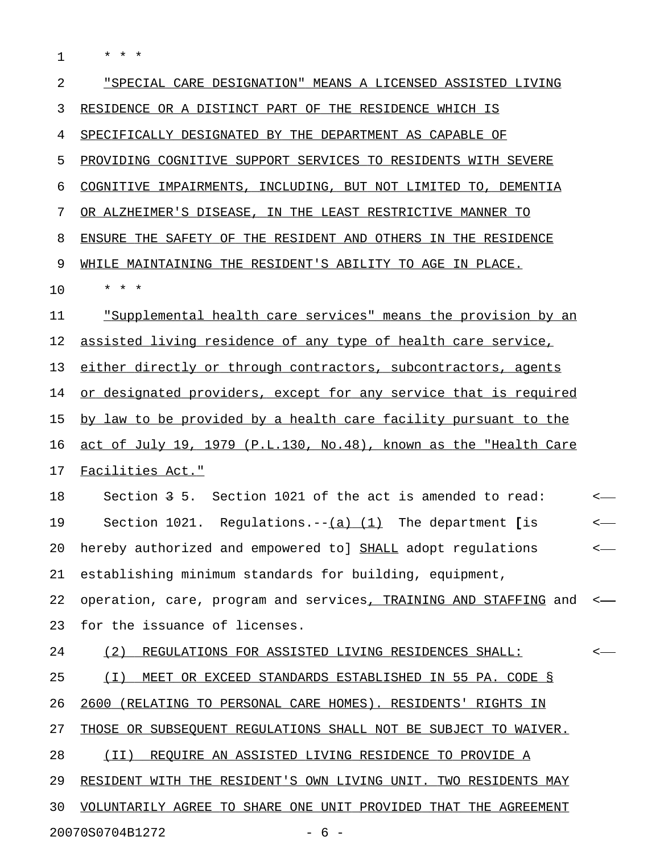1 \* \* \*

| $\overline{2}$ | "SPECIAL CARE DESIGNATION" MEANS A LICENSED ASSISTED LIVING      |    |
|----------------|------------------------------------------------------------------|----|
| 3              | RESIDENCE OR A DISTINCT PART OF THE RESIDENCE WHICH IS           |    |
| 4              | SPECIFICALLY DESIGNATED BY THE DEPARTMENT AS CAPABLE OF          |    |
| 5              | PROVIDING COGNITIVE SUPPORT SERVICES TO RESIDENTS WITH SEVERE    |    |
| 6              | COGNITIVE IMPAIRMENTS, INCLUDING, BUT NOT LIMITED TO, DEMENTIA   |    |
| 7              | OR ALZHEIMER'S DISEASE, IN THE LEAST RESTRICTIVE MANNER TO       |    |
| 8              | ENSURE THE SAFETY OF THE RESIDENT AND OTHERS IN THE RESIDENCE    |    |
| 9              | WHILE MAINTAINING THE RESIDENT'S ABILITY TO AGE IN PLACE.        |    |
| 10             | * * *                                                            |    |
| 11             | "Supplemental health care services" means the provision by an    |    |
| 12             | assisted living residence of any type of health care service,    |    |
| 13             | either directly or through contractors, subcontractors, agents   |    |
| 14             | or designated providers, except for any service that is required |    |
| 15             | by law to be provided by a health care facility pursuant to the  |    |
| 16             | act of July 19, 1979 (P.L.130, No.48), known as the "Health Care |    |
| 17             | Facilities Act."                                                 |    |
| 18             | Section 3 5. Section 1021 of the act is amended to read:         | <— |
| 19             | Section 1021. Regulations.-- $(a)$ (1) The department [is        | <— |
| 20             | hereby authorized and empowered to] SHALL adopt regulations      | <— |
| 21             | establishing minimum standards for building, equipment,          |    |
| 22             | operation, care, program and services, TRAINING AND STAFFING and |    |
| 23             | for the issuance of licenses.                                    |    |
| 24             | (2)<br>REGULATIONS FOR ASSISTED LIVING RESIDENCES SHALL:         |    |
| 25             | MEET OR EXCEED STANDARDS ESTABLISHED IN 55 PA. CODE §<br>( I )   |    |
| 26             | 2600 (RELATING TO PERSONAL CARE HOMES). RESIDENTS' RIGHTS IN     |    |
| 27             | THOSE OR SUBSEQUENT REGULATIONS SHALL NOT BE SUBJECT TO WAIVER.  |    |
| 28             | REQUIRE AN ASSISTED LIVING RESIDENCE TO PROVIDE A<br>(TI)        |    |
| 29             | RESIDENT WITH THE RESIDENT'S OWN LIVING UNIT. TWO RESIDENTS MAY  |    |
| 30             | VOLUNTARILY AGREE TO SHARE ONE UNIT PROVIDED THAT THE AGREEMENT  |    |
|                | 20070S0704B1272<br>- 6                                           |    |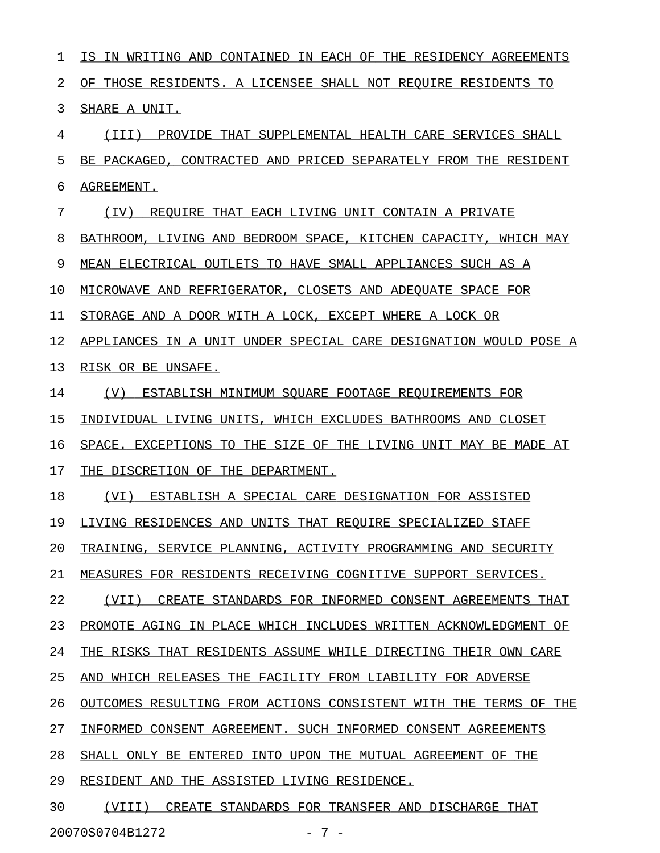1 IS IN WRITING AND CONTAINED IN EACH OF THE RESIDENCY AGREEMENTS 2 OF THOSE RESIDENTS. A LICENSEE SHALL NOT REQUIRE RESIDENTS TO 3 SHARE A UNIT. 4 (III) PROVIDE THAT SUPPLEMENTAL HEALTH CARE SERVICES SHALL 5 BE PACKAGED, CONTRACTED AND PRICED SEPARATELY FROM THE RESIDENT 6 AGREEMENT. 7 (IV) REQUIRE THAT EACH LIVING UNIT CONTAIN A PRIVATE 8 BATHROOM, LIVING AND BEDROOM SPACE, KITCHEN CAPACITY, WHICH MAY 9 MEAN ELECTRICAL OUTLETS TO HAVE SMALL APPLIANCES SUCH AS A 10 MICROWAVE AND REFRIGERATOR, CLOSETS AND ADEQUATE SPACE FOR 11 STORAGE AND A DOOR WITH A LOCK, EXCEPT WHERE A LOCK OR 12 APPLIANCES IN A UNIT UNDER SPECIAL CARE DESIGNATION WOULD POSE A 13 RISK OR BE UNSAFE. 14 (V) ESTABLISH MINIMUM SOUARE FOOTAGE REQUIREMENTS FOR 15 INDIVIDUAL LIVING UNITS, WHICH EXCLUDES BATHROOMS AND CLOSET 16 SPACE. EXCEPTIONS TO THE SIZE OF THE LIVING UNIT MAY BE MADE AT 17 THE DISCRETION OF THE DEPARTMENT. 18 (VI) ESTABLISH A SPECIAL CARE DESIGNATION FOR ASSISTED 19 LIVING RESIDENCES AND UNITS THAT REQUIRE SPECIALIZED STAFF 20 TRAINING, SERVICE PLANNING, ACTIVITY PROGRAMMING AND SECURITY 21 MEASURES FOR RESIDENTS RECEIVING COGNITIVE SUPPORT SERVICES. 22 (VII) CREATE STANDARDS FOR INFORMED CONSENT AGREEMENTS THAT 23 PROMOTE AGING IN PLACE WHICH INCLUDES WRITTEN ACKNOWLEDGMENT OF 24 THE RISKS THAT RESIDENTS ASSUME WHILE DIRECTING THEIR OWN CARE 25 AND WHICH RELEASES THE FACILITY FROM LIABILITY FOR ADVERSE 26 OUTCOMES RESULTING FROM ACTIONS CONSISTENT WITH THE TERMS OF THE 27 INFORMED CONSENT AGREEMENT. SUCH INFORMED CONSENT AGREEMENTS 28 SHALL ONLY BE ENTERED INTO UPON THE MUTUAL AGREEMENT OF THE 29 RESIDENT AND THE ASSISTED LIVING RESIDENCE. 30 (VIII) CREATE STANDARDS FOR TRANSFER AND DISCHARGE THAT

20070S0704B1272 - 7 -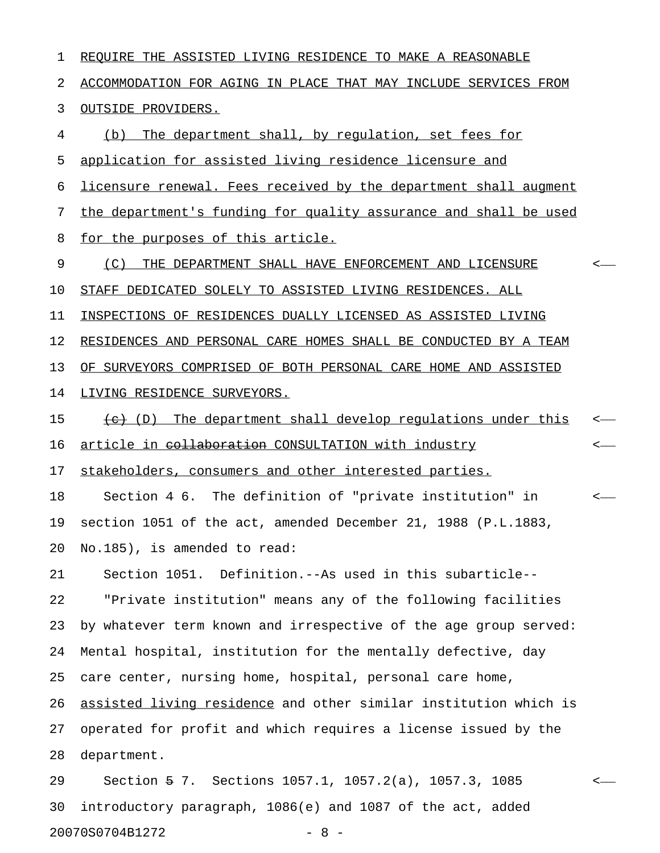1 REQUIRE THE ASSISTED LIVING RESIDENCE TO MAKE A REASONABLE 2 ACCOMMODATION FOR AGING IN PLACE THAT MAY INCLUDE SERVICES FROM 3 OUTSIDE PROVIDERS. 4 (b) The department shall, by requlation, set fees for 5 application for assisted living residence licensure and 6 licensure renewal. Fees received by the department shall augment 7 the department's funding for quality assurance and shall be used 8 for the purposes of this article. 9 (C) THE DEPARTMENT SHALL HAVE ENFORCEMENT AND LICENSURE <-10 STAFF DEDICATED SOLELY TO ASSISTED LIVING RESIDENCES. ALL 11 INSPECTIONS OF RESIDENCES DUALLY LICENSED AS ASSISTED LIVING 12 RESIDENCES AND PERSONAL CARE HOMES SHALL BE CONDUCTED BY A TEAM 13 OF SURVEYORS COMPRISED OF BOTH PERSONAL CARE HOME AND ASSISTED 14 LIVING RESIDENCE SURVEYORS. 15 (e) The department shall develop requlations under this 16 article in <del>collaboration</del> CONSULTATION with industry  $\leftarrow$ 17 stakeholders, consumers and other interested parties. 18 Section 4 6. The definition of "private institution" in < 19 section 1051 of the act, amended December 21, 1988 (P.L.1883, 20 No.185), is amended to read: 21 Section 1051. Definition.--As used in this subarticle-- 22 "Private institution" means any of the following facilities 23 by whatever term known and irrespective of the age group served: 24 Mental hospital, institution for the mentally defective, day 25 care center, nursing home, hospital, personal care home, 26 assisted living residence and other similar institution which is 27 operated for profit and which requires a license issued by the 28 department. 29 Section 5 7. Sections 1057.1, 1057.2(a), 1057.3, 1085 < 30 introductory paragraph, 1086(e) and 1087 of the act, added

20070S0704B1272 - 8 -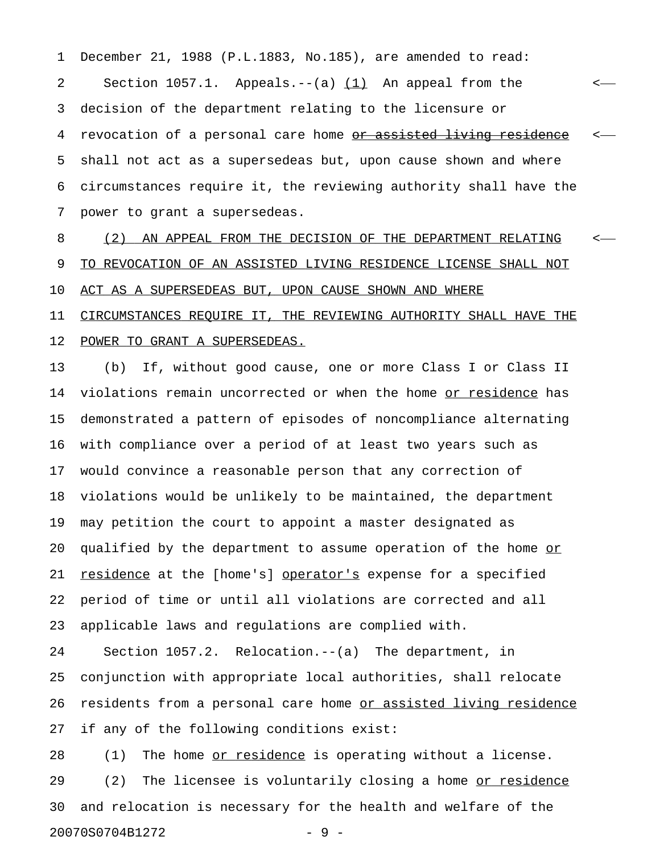1 December 21, 1988 (P.L.1883, No.185), are amended to read: 2 Section 1057.1. Appeals.--(a)  $(1)$  An appeal from the  $\leftarrow$ 3 decision of the department relating to the licensure or 4 revocation of a personal care home <u>or assisted living residence</u> <-5 shall not act as a supersedeas but, upon cause shown and where 6 circumstances require it, the reviewing authority shall have the 7 power to grant a supersedeas.

8 (2) AN APPEAL FROM THE DECISION OF THE DEPARTMENT RELATING < 9 TO REVOCATION OF AN ASSISTED LIVING RESIDENCE LICENSE SHALL NOT 10 ACT AS A SUPERSEDEAS BUT, UPON CAUSE SHOWN AND WHERE 11 CIRCUMSTANCES REQUIRE IT, THE REVIEWING AUTHORITY SHALL HAVE THE

#### 12 POWER TO GRANT A SUPERSEDEAS.

13 (b) If, without good cause, one or more Class I or Class II 14 violations remain uncorrected or when the home or residence has 15 demonstrated a pattern of episodes of noncompliance alternating 16 with compliance over a period of at least two years such as 17 would convince a reasonable person that any correction of 18 violations would be unlikely to be maintained, the department 19 may petition the court to appoint a master designated as 20 qualified by the department to assume operation of the home or 21 residence at the [home's] operator's expense for a specified 22 period of time or until all violations are corrected and all 23 applicable laws and regulations are complied with.

24 Section 1057.2. Relocation.--(a) The department, in 25 conjunction with appropriate local authorities, shall relocate 26 residents from a personal care home or assisted living residence 27 if any of the following conditions exist:

28 (1) The home <u>or residence</u> is operating without a license. 29 (2) The licensee is voluntarily closing a home or residence 30 and relocation is necessary for the health and welfare of the 20070S0704B1272 - 9 -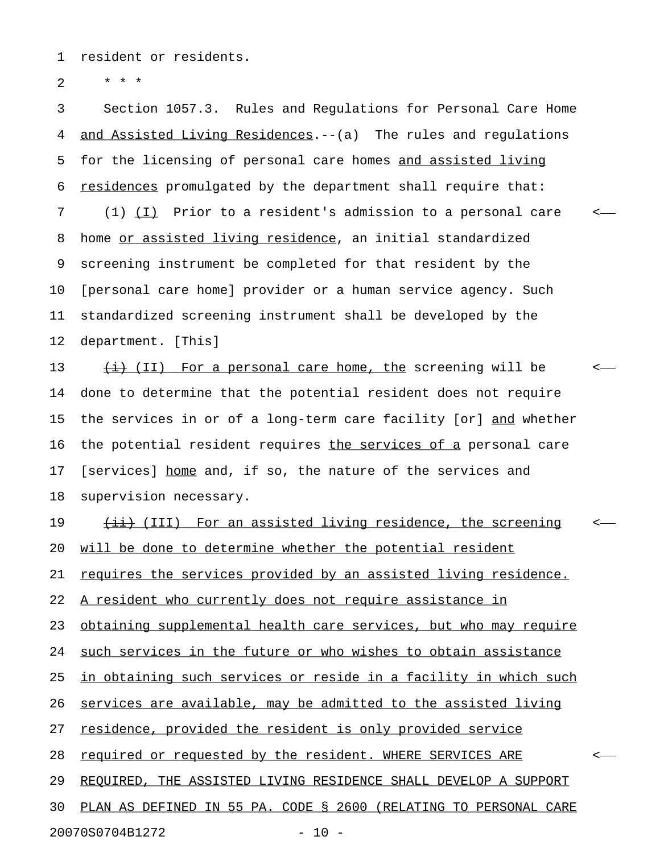1 resident or residents.

2  $* * * *$ 

3 Section 1057.3. Rules and Regulations for Personal Care Home 4 <u>and Assisted Living Residences</u>.--(a) The rules and regulations 5 for the licensing of personal care homes and assisted living 6 residences promulgated by the department shall require that: 7 (1) (I) Prior to a resident's admission to a personal care 8 home or assisted living residence, an initial standardized 9 screening instrument be completed for that resident by the 10 [personal care home] provider or a human service agency. Such 11 standardized screening instrument shall be developed by the 12 department. [This] 13  $\frac{1}{12}$  (II) For a personal care home, the screening will be  $\leq$ 14 done to determine that the potential resident does not require 15 the services in or of a long-term care facility [or] and whether 16 the potential resident requires the services of a personal care 17 [services] home and, if so, the nature of the services and 18 supervision necessary. 19  $\longleftrightarrow$  (III) For an assisted living residence, the screening 20 will be done to determine whether the potential resident 21 requires the services provided by an assisted living residence. 22 A resident who currently does not require assistance in 23 obtaining supplemental health care services, but who may require 24 such services in the future or who wishes to obtain assistance 25 in obtaining such services or reside in a facility in which such 26 services are available, may be admitted to the assisted living 27 residence, provided the resident is only provided service 28 required or requested by the resident. WHERE SERVICES ARE  $\sim$ 29 REQUIRED, THE ASSISTED LIVING RESIDENCE SHALL DEVELOP A SUPPORT 30 PLAN AS DEFINED IN 55 PA. CODE § 2600 (RELATING TO PERSONAL CARE 20070S0704B1272 - 10 -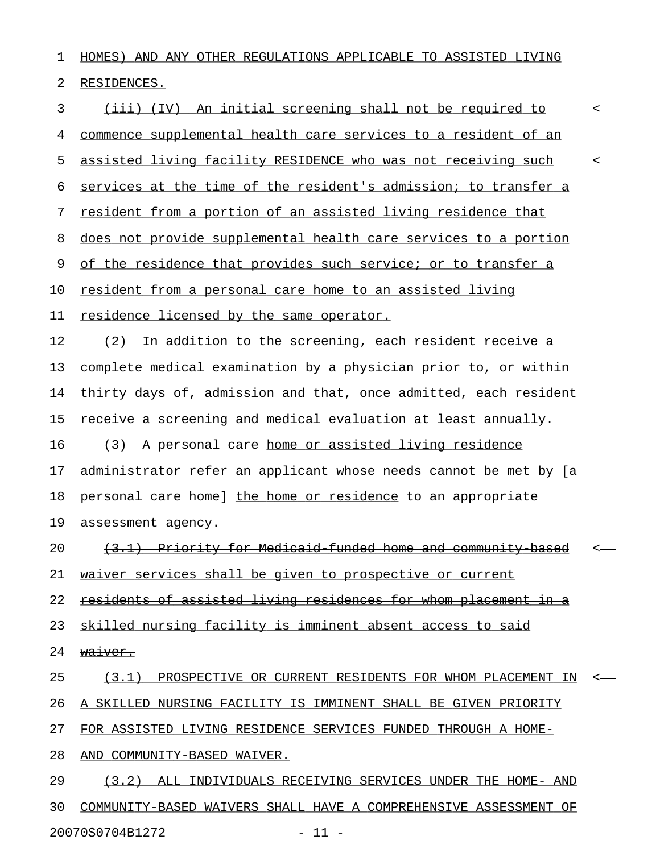1 HOMES) AND ANY OTHER REGULATIONS APPLICABLE TO ASSISTED LIVING 2 RESIDENCES.

3 (iii) An initial screening shall not be required to  $\leftarrow$ 4 commence supplemental health care services to a resident of an 5 assisted living facility RESIDENCE who was not receiving such <-6 services at the time of the resident's admission; to transfer a 7 resident from a portion of an assisted living residence that 8 does not provide supplemental health care services to a portion 9 of the residence that provides such service; or to transfer a 10 resident from a personal care home to an assisted living 11 residence licensed by the same operator. 12 (2) In addition to the screening, each resident receive a 13 complete medical examination by a physician prior to, or within 14 thirty days of, admission and that, once admitted, each resident 15 receive a screening and medical evaluation at least annually. 16 (3) A personal care home or assisted living residence 17 administrator refer an applicant whose needs cannot be met by [a 18 personal care home] the home or residence to an appropriate 19 assessment agency. 20 (3.1) Priority for Medicaid funded home and community based 21 waiver services shall be given to prospective or current 22 residents of assisted living residences for whom placement in a 23 skilled nursing facility is imminent absent access to said 24 waiver. 25 (3.1) PROSPECTIVE OR CURRENT RESIDENTS FOR WHOM PLACEMENT IN <-26 A SKILLED NURSING FACILITY IS IMMINENT SHALL BE GIVEN PRIORITY 27 FOR ASSISTED LIVING RESIDENCE SERVICES FUNDED THROUGH A HOME-28 AND COMMUNITY-BASED WAIVER. 29 (3.2) ALL INDIVIDUALS RECEIVING SERVICES UNDER THE HOME- AND

30 COMMUNITY-BASED WAIVERS SHALL HAVE A COMPREHENSIVE ASSESSMENT OF 20070S0704B1272 - 11 -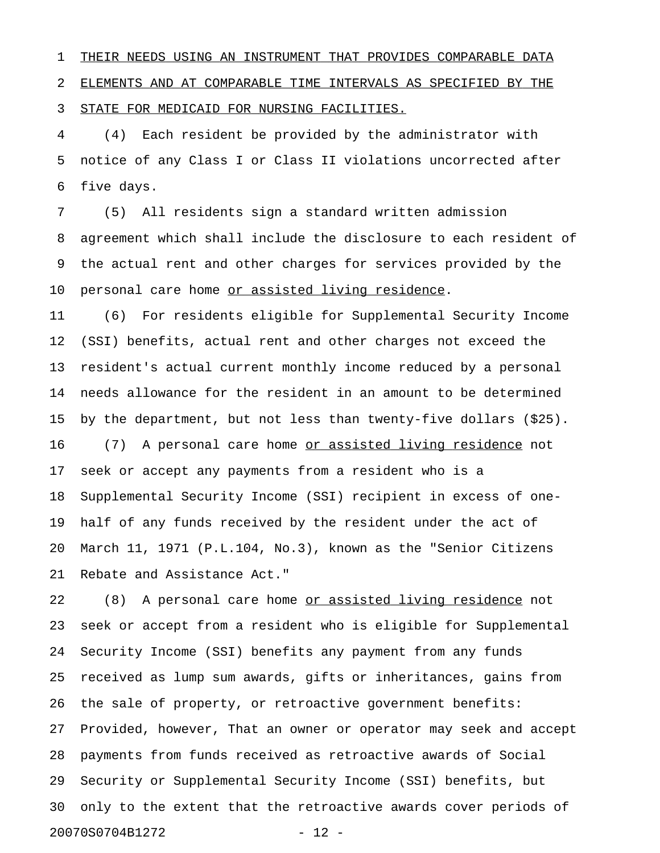1 THEIR NEEDS USING AN INSTRUMENT THAT PROVIDES COMPARABLE DATA 2 ELEMENTS AND AT COMPARABLE TIME INTERVALS AS SPECIFIED BY THE 3 STATE FOR MEDICAID FOR NURSING FACILITIES.

4 (4) Each resident be provided by the administrator with 5 notice of any Class I or Class II violations uncorrected after 6 five days.

7 (5) All residents sign a standard written admission 8 agreement which shall include the disclosure to each resident of 9 the actual rent and other charges for services provided by the 10 personal care home or assisted living residence.

11 (6) For residents eligible for Supplemental Security Income 12 (SSI) benefits, actual rent and other charges not exceed the 13 resident's actual current monthly income reduced by a personal 14 needs allowance for the resident in an amount to be determined 15 by the department, but not less than twenty-five dollars (\$25). 16 (7) A personal care home or assisted living residence not 17 seek or accept any payments from a resident who is a 18 Supplemental Security Income (SSI) recipient in excess of one-19 half of any funds received by the resident under the act of 20 March 11, 1971 (P.L.104, No.3), known as the "Senior Citizens 21 Rebate and Assistance Act."

22 (8) A personal care home <u>or assisted living residence</u> not 23 seek or accept from a resident who is eligible for Supplemental 24 Security Income (SSI) benefits any payment from any funds 25 received as lump sum awards, gifts or inheritances, gains from 26 the sale of property, or retroactive government benefits: 27 Provided, however, That an owner or operator may seek and accept 28 payments from funds received as retroactive awards of Social 29 Security or Supplemental Security Income (SSI) benefits, but 30 only to the extent that the retroactive awards cover periods of 20070S0704B1272 - 12 -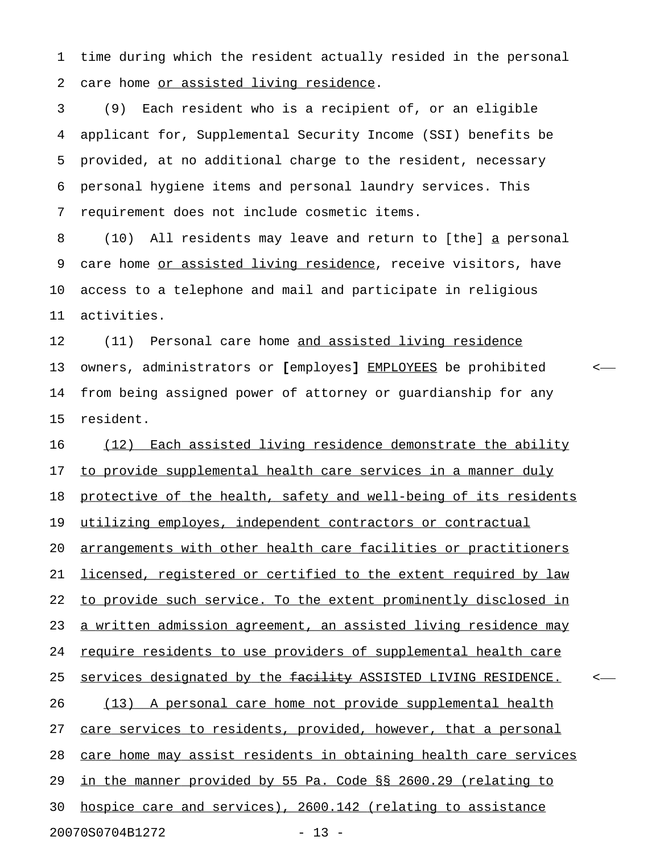1 time during which the resident actually resided in the personal 2 care home or assisted living residence.

3 (9) Each resident who is a recipient of, or an eligible 4 applicant for, Supplemental Security Income (SSI) benefits be 5 provided, at no additional charge to the resident, necessary 6 personal hygiene items and personal laundry services. This 7 requirement does not include cosmetic items.

8 (10) All residents may leave and return to [the] a personal \_ 9 care home or assisted living residence, receive visitors, have 10 access to a telephone and mail and participate in religious 11 activities.

12 (11) Personal care home and assisted living residence 13 owners, administrators or [employes] EMPLOYEES be prohibited < 14 from being assigned power of attorney or guardianship for any 15 resident.

16 (12) Each assisted living residence demonstrate the ability 17 to provide supplemental health care services in a manner duly 18 protective of the health, safety and well-being of its residents 19 utilizing employes, independent contractors or contractual 20 arrangements with other health care facilities or practitioners 21 licensed, registered or certified to the extent required by law 22 to provide such service. To the extent prominently disclosed in 23 a written admission agreement, an assisted living residence may 24 require residents to use providers of supplemental health care 25 services designated by the facility ASSISTED LIVING RESIDENCE. <-26 (13) A personal care home not provide supplemental health 27 care services to residents, provided, however, that a personal 28 care home may assist residents in obtaining health care services 29 in the manner provided by 55 Pa. Code §§ 2600.29 (relating to 30 hospice care and services), 2600.142 (relating to assistance 20070S0704B1272 - 13 -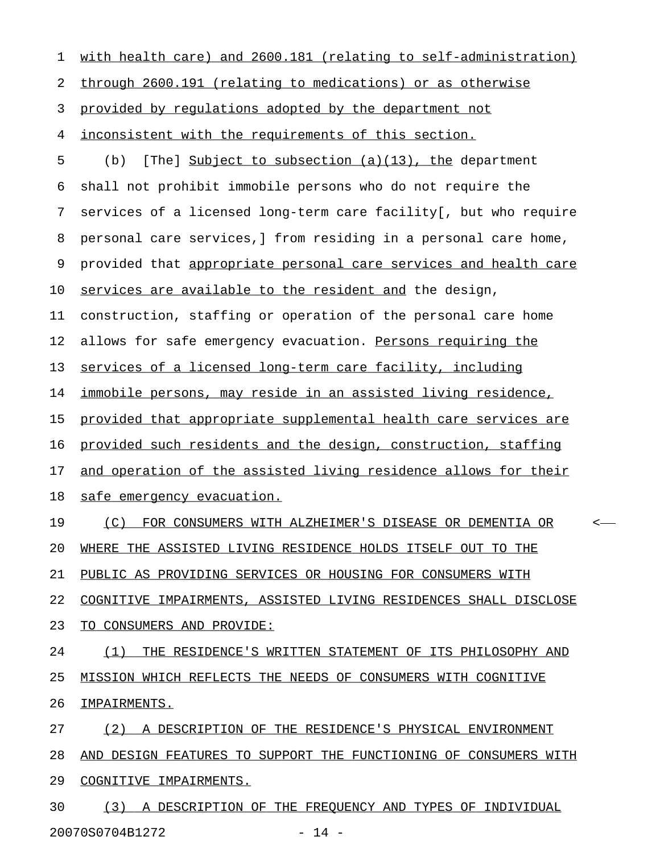| 1  | with health care) and 2600.181 (relating to self-administration)  |
|----|-------------------------------------------------------------------|
| 2  | through 2600.191 (relating to medications) or as otherwise        |
| 3  | provided by regulations adopted by the department not             |
| 4  | inconsistent with the requirements of this section.               |
| 5  | [The] Subject to subsection (a)(13), the department<br>(b)        |
| 6  | shall not prohibit immobile persons who do not require the        |
| 7  | services of a licensed long-term care facility [, but who require |
| 8  | personal care services, I from residing in a personal care home,  |
| 9  | provided that appropriate personal care services and health care  |
| 10 | services are available to the resident and the design,            |
| 11 | construction, staffing or operation of the personal care home     |
| 12 | allows for safe emergency evacuation. Persons requiring the       |
| 13 | services of a licensed long-term care facility, including         |
| 14 | immobile persons, may reside in an assisted living residence,     |
| 15 | provided that appropriate supplemental health care services are   |
| 16 | provided such residents and the design, construction, staffing    |
| 17 | and operation of the assisted living residence allows for their   |
| 18 | <u>safe emergency evacuation.</u>                                 |
| 19 | (C)<br>FOR CONSUMERS WITH ALZHEIMER'S DISEASE OR DEMENTIA OR      |
| 20 | WHERE THE ASSISTED LIVING RESIDENCE HOLDS ITSELF OUT TO THE       |
| 21 | PUBLIC AS PROVIDING SERVICES OR HOUSING FOR CONSUMERS WITH        |
| 22 | COGNITIVE IMPAIRMENTS, ASSISTED LIVING RESIDENCES SHALL DISCLOSE  |
| 23 | TO CONSUMERS AND PROVIDE:                                         |
| 24 | (1)<br>THE RESIDENCE'S WRITTEN STATEMENT OF ITS PHILOSOPHY AND    |
| 25 | MISSION WHICH REFLECTS THE NEEDS OF CONSUMERS WITH COGNITIVE      |
| 26 | IMPAIRMENTS.                                                      |
| 27 | (2) A DESCRIPTION OF THE RESIDENCE'S PHYSICAL ENVIRONMENT         |
| 28 | AND DESIGN FEATURES TO SUPPORT THE FUNCTIONING OF CONSUMERS WITH  |
| 29 | COGNITIVE IMPAIRMENTS.                                            |
| 30 | (3) A DESCRIPTION OF THE FREQUENCY AND TYPES OF INDIVIDUAL        |

20070S0704B1272 - 14 -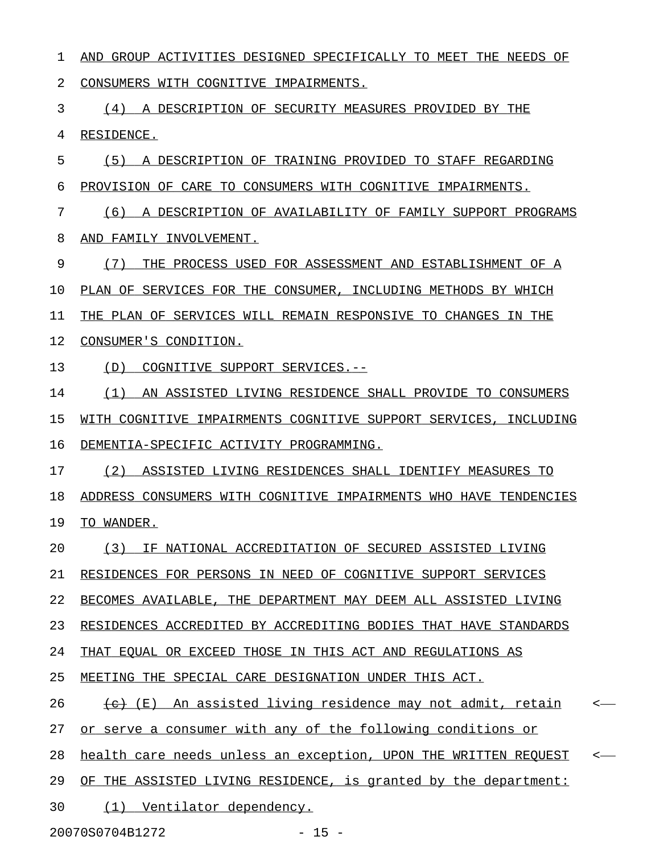1 AND GROUP ACTIVITIES DESIGNED SPECIFICALLY TO MEET THE NEEDS OF 2 CONSUMERS WITH COGNITIVE IMPAIRMENTS. 3 (4) A DESCRIPTION OF SECURITY MEASURES PROVIDED BY THE 4 RESIDENCE. 5 (5) A DESCRIPTION OF TRAINING PROVIDED TO STAFF REGARDING 6 PROVISION OF CARE TO CONSUMERS WITH COGNITIVE IMPAIRMENTS. 7 (6) A DESCRIPTION OF AVAILABILITY OF FAMILY SUPPORT PROGRAMS 8 AND FAMILY INVOLVEMENT. 9 (7) THE PROCESS USED FOR ASSESSMENT AND ESTABLISHMENT OF A 10 PLAN OF SERVICES FOR THE CONSUMER, INCLUDING METHODS BY WHICH 11 THE PLAN OF SERVICES WILL REMAIN RESPONSIVE TO CHANGES IN THE 12 CONSUMER'S CONDITION. 13 (D) COGNITIVE SUPPORT SERVICES.--14 (1) AN ASSISTED LIVING RESIDENCE SHALL PROVIDE TO CONSUMERS 15 WITH COGNITIVE IMPAIRMENTS COGNITIVE SUPPORT SERVICES, INCLUDING 16 DEMENTIA-SPECIFIC ACTIVITY PROGRAMMING. 17 (2) ASSISTED LIVING RESIDENCES SHALL IDENTIFY MEASURES TO 18 ADDRESS CONSUMERS WITH COGNITIVE IMPAIRMENTS WHO HAVE TENDENCIES 19 TO WANDER. 20 (3) IF NATIONAL ACCREDITATION OF SECURED ASSISTED LIVING 21 RESIDENCES FOR PERSONS IN NEED OF COGNITIVE SUPPORT SERVICES 22 BECOMES AVAILABLE, THE DEPARTMENT MAY DEEM ALL ASSISTED LIVING 23 RESIDENCES ACCREDITED BY ACCREDITING BODIES THAT HAVE STANDARDS 24 THAT EQUAL OR EXCEED THOSE IN THIS ACT AND REGULATIONS AS 25 MEETING THE SPECIAL CARE DESIGNATION UNDER THIS ACT. 26 (e) An assisted living residence may not admit, retain 27 or serve a consumer with any of the following conditions or 28 health care needs unless an exception, UPON THE WRITTEN REQUEST <-29 OF THE ASSISTED LIVING RESIDENCE, is granted by the department: 30 (1) Ventilator dependency. 20070S0704B1272 - 15 -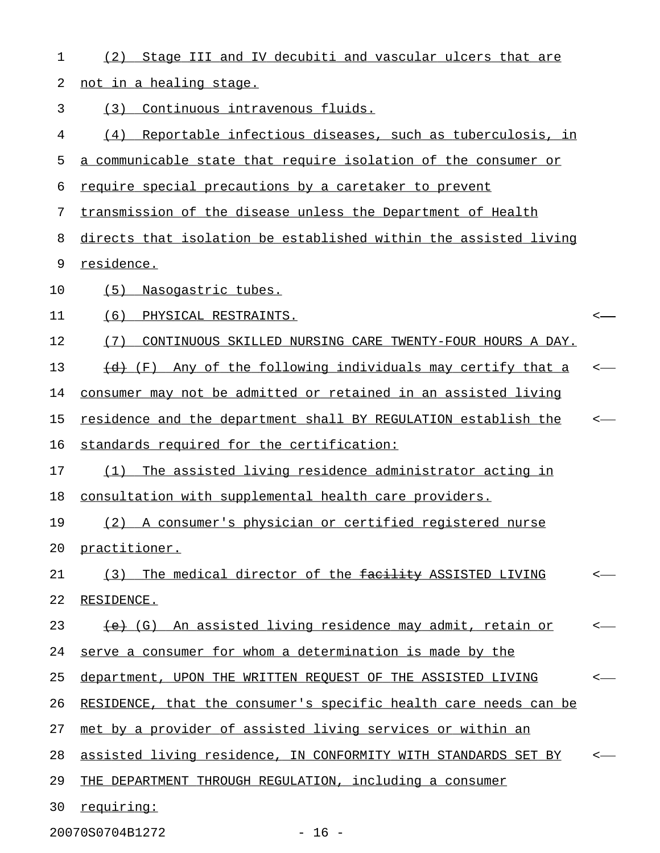| 1  | Stage III and IV decubiti and vascular ulcers that are<br>(2)             |                          |
|----|---------------------------------------------------------------------------|--------------------------|
| 2  | not in a healing stage.                                                   |                          |
| 3  | Continuous intravenous fluids.<br>(3)                                     |                          |
| 4  | Reportable infectious diseases, such as tuberculosis, in<br>(4)           |                          |
| 5  | a communicable state that require isolation of the consumer or            |                          |
| 6  | require special precautions by a caretaker to prevent                     |                          |
| 7  | transmission of the disease unless the Department of Health               |                          |
| 8  | directs that isolation be established within the assisted living          |                          |
| 9  | residence.                                                                |                          |
| 10 | (5)<br>Nasogastric tubes.                                                 |                          |
| 11 | (6)<br>PHYSICAL RESTRAINTS.                                               |                          |
| 12 | CONTINUOUS SKILLED NURSING CARE TWENTY-FOUR HOURS A DAY.<br>(7)           |                          |
| 13 | Any of the following individuals may certify that a<br><del>(d)</del> (F) |                          |
| 14 | consumer may not be admitted or retained in an assisted living            |                          |
| 15 | residence and the department shall BY REGULATION establish the            |                          |
| 16 | standards required for the certification:                                 |                          |
| 17 | The assisted living residence administrator acting in<br>(1)              |                          |
| 18 | consultation with supplemental health care providers.                     |                          |
| 19 | A consumer's physician or certified registered nurse<br>(2)               |                          |
| 20 | practitioner.                                                             |                          |
| 21 | (3) The medical director of the facility ASSISTED LIVING                  | $\overline{\phantom{a}}$ |
| 22 | RESIDENCE.                                                                |                          |
| 23 | (G) An assisted living residence may admit, retain or                     | <—                       |
| 24 | serve a consumer for whom a determination is made by the                  |                          |
| 25 | department, UPON THE WRITTEN REQUEST OF THE ASSISTED LIVING               | <—                       |
| 26 | RESIDENCE, that the consumer's specific health care needs can be          |                          |
| 27 | met by a provider of assisted living services or within an                |                          |
| 28 | assisted living residence, IN CONFORMITY WITH STANDARDS SET BY            |                          |
| 29 | THE DEPARTMENT THROUGH REGULATION, including a consumer                   |                          |
| 30 | requiring:                                                                |                          |
|    |                                                                           |                          |

20070S0704B1272 - 16 -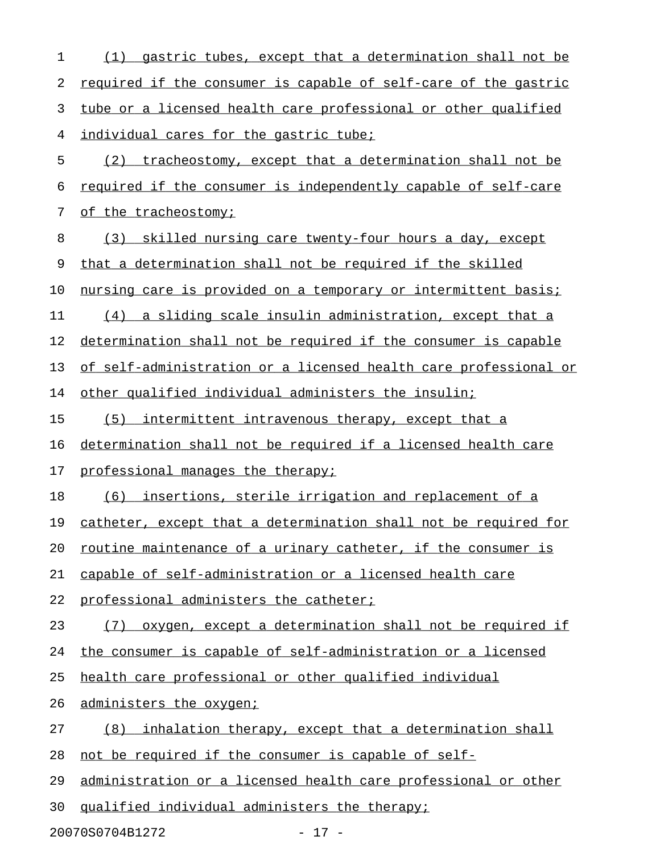| 1  | gastric tubes, except that a determination shall not be<br>(1)   |
|----|------------------------------------------------------------------|
| 2  | required if the consumer is capable of self-care of the gastric  |
| 3  | tube or a licensed health care professional or other qualified   |
| 4  | individual cares for the gastric tube;                           |
| 5  | (2) tracheostomy, except that a determination shall not be       |
| 6  | required if the consumer is independently capable of self-care   |
| 7  | of the tracheostomy;                                             |
| 8  | (3) skilled nursing care twenty-four hours a day, except         |
| 9  | that a determination shall not be required if the skilled        |
| 10 | nursing care is provided on a temporary or intermittent basis;   |
| 11 | (4) a sliding scale insulin administration, except that a        |
| 12 | determination shall not be required if the consumer is capable   |
| 13 | of self-administration or a licensed health care professional or |
| 14 | other qualified individual administers the insulin;              |
| 15 | (5) intermittent intravenous therapy, except that a              |
| 16 | determination shall not be required if a licensed health care    |
| 17 | professional manages the therapy;                                |
| 18 | (6) insertions, sterile irrigation and replacement of a          |
| 19 | catheter, except that a determination shall not be required for  |
| 20 | routine maintenance of a urinary catheter, if the consumer is    |
| 21 | capable of self-administration or a licensed health care         |
| 22 | professional administers the catheter;                           |
| 23 | oxygen, except a determination shall not be required if<br>(7)   |
| 24 | the consumer is capable of self-administration or a licensed     |
| 25 | health care professional or other qualified individual           |
| 26 | administers the oxygen;                                          |
| 27 | inhalation therapy, except that a determination shall<br>(8)     |
| 28 | not be required if the consumer is capable of self-              |
| 29 | administration or a licensed health care professional or other   |
| 30 | qualified individual administers the therapy;                    |

20070S0704B1272 - 17 -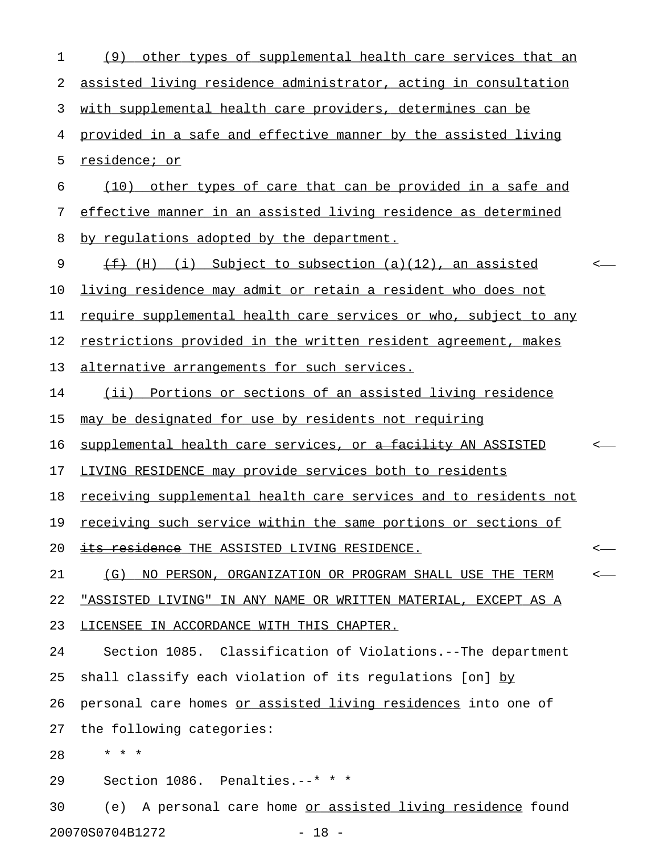| other types of supplemental health care services that an<br>(9)   |  |
|-------------------------------------------------------------------|--|
| assisted living residence administrator, acting in consultation   |  |
| with supplemental health care providers, determines can be        |  |
| provided in a safe and effective manner by the assisted living    |  |
| residence; or                                                     |  |
| (10) other types of care that can be provided in a safe and       |  |
| effective manner in an assisted living residence as determined    |  |
| by regulations adopted by the department.                         |  |
| $\overline{f}$ (H) (i) Subject to subsection (a)(12), an assisted |  |
| living residence may admit or retain a resident who does not      |  |
| require supplemental health care services or who, subject to any  |  |
| restrictions provided in the written resident agreement, makes    |  |
| alternative arrangements for such services.                       |  |
| (ii) Portions or sections of an assisted living residence         |  |
| may be designated for use by residents not requiring              |  |
| supplemental health care services, or a facility AN ASSISTED      |  |
| LIVING RESIDENCE may provide services both to residents           |  |
| receiving supplemental health care services and to residents not  |  |
| receiving such service within the same portions or sections of    |  |
| <u>its residence THE ASSISTED LIVING RESIDENCE.</u>               |  |
| (G)<br>NO PERSON, ORGANIZATION OR PROGRAM SHALL USE THE TERM      |  |
| "ASSISTED LIVING" IN ANY NAME OR WRITTEN MATERIAL, EXCEPT AS A    |  |
| LICENSEE IN ACCORDANCE WITH THIS CHAPTER.                         |  |
| Section 1085. Classification of Violations.--The department       |  |
| shall classify each violation of its regulations [on] by          |  |
| personal care homes or assisted living residences into one of     |  |
| the following categories:                                         |  |
| $\star$ $\star$<br>$\star$                                        |  |
| Section 1086. Penalties.--* * *                                   |  |
| A personal care home or assisted living residence found<br>(e)    |  |
|                                                                   |  |

20070S0704B1272 - 18 -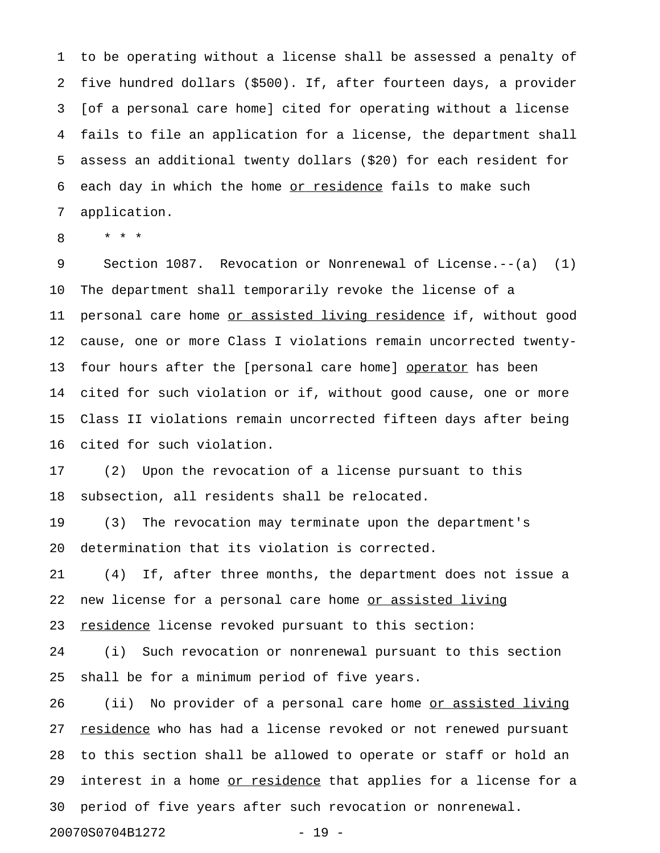1 to be operating without a license shall be assessed a penalty of 2 five hundred dollars (\$500). If, after fourteen days, a provider 3 [of a personal care home] cited for operating without a license 4 fails to file an application for a license, the department shall 5 assess an additional twenty dollars (\$20) for each resident for 6 each day in which the home or residence fails to make such 7 application.

8 \* \* \*

9 Section 1087. Revocation or Nonrenewal of License.--(a) (1) 10 The department shall temporarily revoke the license of a 11 personal care home or assisted living residence if, without good 12 cause, one or more Class I violations remain uncorrected twenty-13 four hours after the [personal care home] operator has been 14 cited for such violation or if, without good cause, one or more 15 Class II violations remain uncorrected fifteen days after being 16 cited for such violation.

17 (2) Upon the revocation of a license pursuant to this 18 subsection, all residents shall be relocated.

19 (3) The revocation may terminate upon the department's 20 determination that its violation is corrected.

21 (4) If, after three months, the department does not issue a 22 new license for a personal care home or assisted living 23 residence license revoked pursuant to this section:

24 (i) Such revocation or nonrenewal pursuant to this section 25 shall be for a minimum period of five years.

26 (ii) No provider of a personal care home <u>or assisted living</u> 27 residence who has had a license revoked or not renewed pursuant 28 to this section shall be allowed to operate or staff or hold an 29 interest in a home or residence that applies for a license for a 30 period of five years after such revocation or nonrenewal.

20070S0704B1272 - 19 -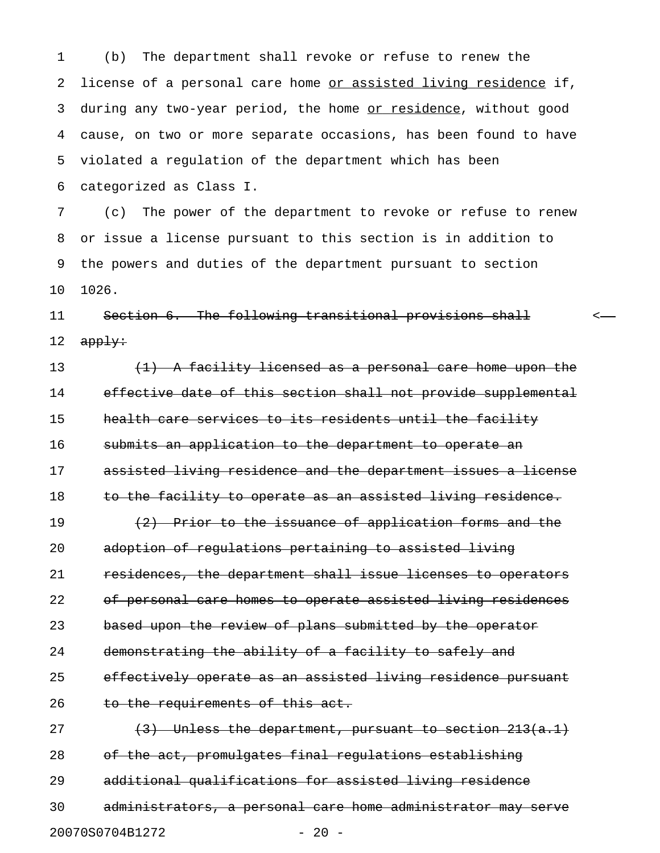1 (b) The department shall revoke or refuse to renew the 2 license of a personal care home or assisted living residence if, 3 during any two-year period, the home or residence, without good 4 cause, on two or more separate occasions, has been found to have 5 violated a regulation of the department which has been 6 categorized as Class I.

7 (c) The power of the department to revoke or refuse to renew 8 or issue a license pursuant to this section is in addition to 9 the powers and duties of the department pursuant to section 10 1026.

## 11 Section 6. The following transitional provisions shall < 12  $apply:$

13 (1) A facility licensed as a personal care home upon the 14 effective date of this section shall not provide supplemental 15 health care services to its residents until the facility 16 submits an application to the department to operate an 17 assisted living residence and the department issues a license 18 to the facility to operate as an assisted living residence. 19  $(2)$  Prior to the issuance of application forms and the 20 adoption of regulations pertaining to assisted living 21 residences, the department shall issue licenses to operators 22 of personal care homes to operate assisted living residences 23 based upon the review of plans submitted by the operator 24 demonstrating the ability of a facility to safely and

## 25 effectively operate as an assisted living residence pursuant 26 to the requirements of this act.

27  $(3)$  Unless the department, pursuant to section  $213(a.1)$ 28 of the act, promulgates final regulations establishing 29 additional qualifications for assisted living residence 30 administrators, a personal care home administrator may serve 20070S0704B1272 - 20 -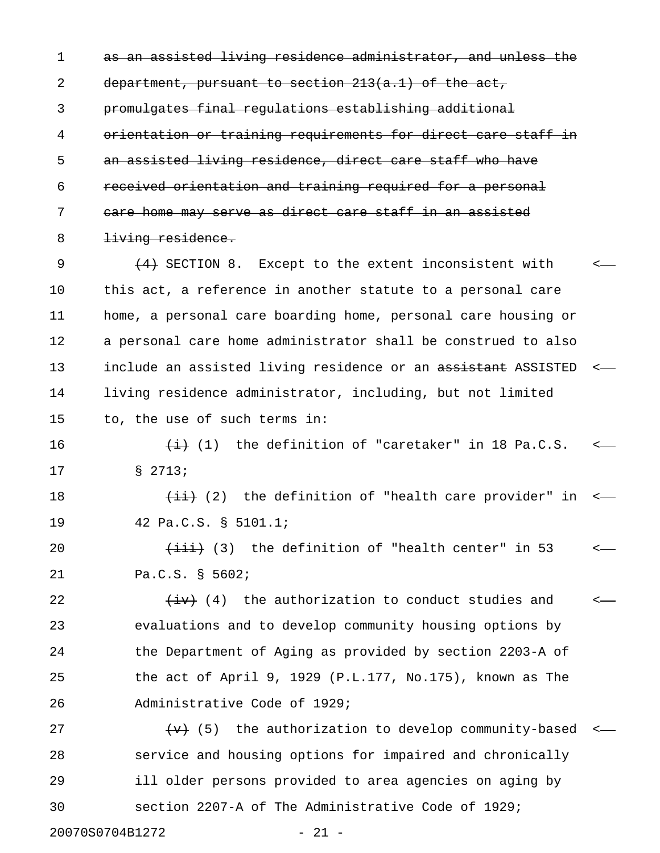1 as an assisted living residence administrator, and unless the 2 department, pursuant to section 213(a.1) of the act, 3 promulgates final regulations establishing additional 4 orientation or training requirements for direct care staff in 5 an assisted living residence, direct care staff who have 6 received orientation and training required for a personal 7 care home may serve as direct care staff in an assisted 8 <del>living residence.</del>

9  $(4)$  SECTION 8. Except to the extent inconsistent with  $\leftarrow$ 10 this act, a reference in another statute to a personal care 11 home, a personal care boarding home, personal care housing or 12 a personal care home administrator shall be construed to also 13 include an assisted living residence or an assistant ASSISTED <-14 living residence administrator, including, but not limited 15 to, the use of such terms in:

16  $\leftarrow$   $\leftarrow$  (1) the definition of "caretaker" in 18 Pa.C.S.  $\leftarrow$ 17 § 2713;

18  $\overline{\text{4i}}$  (2) the definition of "health care provider" in <-19 42 Pa.C.S. § 5101.1;

20  $\leftarrow$   $\leftarrow$   $\leftarrow$  (3) the definition of "health center" in 53  $\leftarrow$ 21 Pa.C.S. § 5602;

22  $\overline{(+)}$  (4) the authorization to conduct studies and  $\overline{(-)}$ 23 evaluations and to develop community housing options by 24 the Department of Aging as provided by section 2203-A of 25 the act of April 9, 1929 (P.L.177, No.175), known as The 26 Administrative Code of 1929;

27  $\left\{\theta\right\}$  (5) the authorization to develop community-based <-28 service and housing options for impaired and chronically 29 ill older persons provided to area agencies on aging by 30 section 2207-A of The Administrative Code of 1929;

20070S0704B1272 - 21 -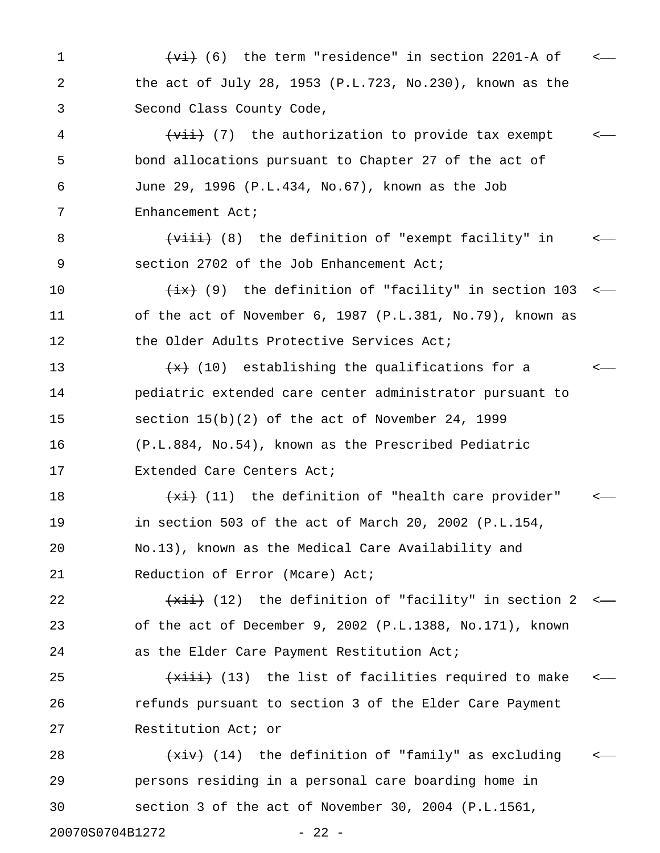1 (<del>vi)</del> (6) the term "residence" in section 2201-A of c 2 the act of July 28, 1953 (P.L.723, No.230), known as the 3 Second Class County Code, 4 (<del>vii)</del> (7) the authorization to provide tax exempt 5 bond allocations pursuant to Chapter 27 of the act of 6 June 29, 1996 (P.L.434, No.67), known as the Job 7 Enhancement Act; 8 (<del>viii)</del> (8) the definition of "exempt facility" in  $\sim$ 9 section 2702 of the Job Enhancement Act; 10  $\frac{1}{1}$  (9) the definition of "facility" in section 103 <-11 of the act of November 6, 1987 (P.L.381, No.79), known as 12 the Older Adults Protective Services Act; 13  $\left\{\star\right\}$  (10) establishing the qualifications for a  $\leftarrow$ 14 pediatric extended care center administrator pursuant to 15 section 15(b)(2) of the act of November 24, 1999

16 (P.L.884, No.54), known as the Prescribed Pediatric 17 Extended Care Centers Act;

18  $\leftarrow$   $\leftarrow$   $\leftarrow$  (11) the definition of "health care provider" 19 in section 503 of the act of March 20, 2002 (P.L.154, 20 No.13), known as the Medical Care Availability and 21 Reduction of Error (Mcare) Act;

22  $\overline{+x^{2}}$  (12) the definition of "facility" in section 2 <— 23 of the act of December 9, 2002 (P.L.1388, No.171), known 24 as the Elder Care Payment Restitution Act;

25 (xiii) (13) the list of facilities required to make < 26 refunds pursuant to section 3 of the Elder Care Payment 27 Restitution Act; or

28  $\overline{+xiv}$  (14) the definition of "family" as excluding  $\overline{+x^2}$ 29 persons residing in a personal care boarding home in 30 section 3 of the act of November 30, 2004 (P.L.1561,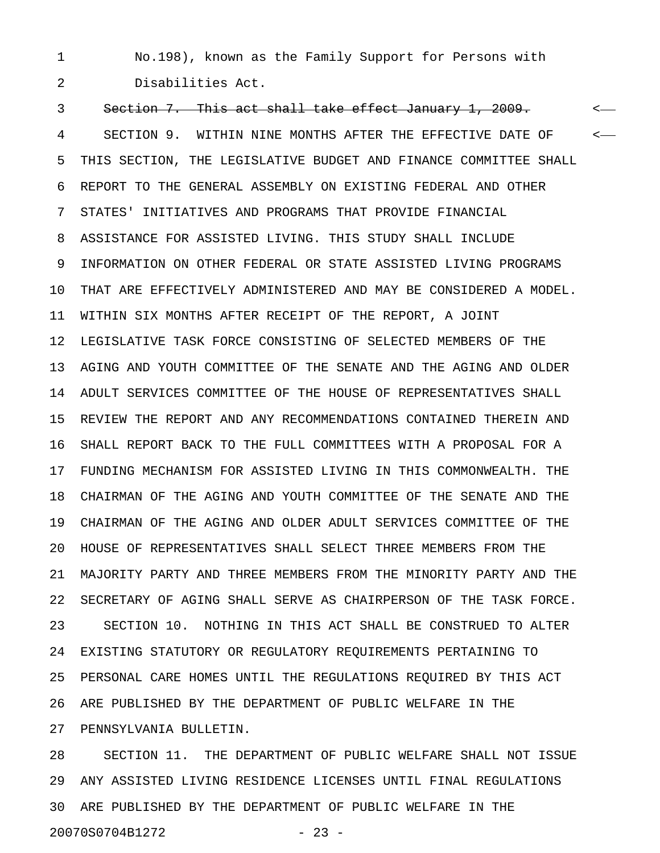1 No.198), known as the Family Support for Persons with 2 Disabilities Act.

3 Section 7. This act shall take effect January 1, 2009. < 4 SECTION 9. WITHIN NINE MONTHS AFTER THE EFFECTIVE DATE OF < 5 THIS SECTION, THE LEGISLATIVE BUDGET AND FINANCE COMMITTEE SHALL 6 REPORT TO THE GENERAL ASSEMBLY ON EXISTING FEDERAL AND OTHER 7 STATES' INITIATIVES AND PROGRAMS THAT PROVIDE FINANCIAL 8 ASSISTANCE FOR ASSISTED LIVING. THIS STUDY SHALL INCLUDE 9 INFORMATION ON OTHER FEDERAL OR STATE ASSISTED LIVING PROGRAMS 10 THAT ARE EFFECTIVELY ADMINISTERED AND MAY BE CONSIDERED A MODEL. 11 WITHIN SIX MONTHS AFTER RECEIPT OF THE REPORT, A JOINT 12 LEGISLATIVE TASK FORCE CONSISTING OF SELECTED MEMBERS OF THE 13 AGING AND YOUTH COMMITTEE OF THE SENATE AND THE AGING AND OLDER 14 ADULT SERVICES COMMITTEE OF THE HOUSE OF REPRESENTATIVES SHALL 15 REVIEW THE REPORT AND ANY RECOMMENDATIONS CONTAINED THEREIN AND 16 SHALL REPORT BACK TO THE FULL COMMITTEES WITH A PROPOSAL FOR A 17 FUNDING MECHANISM FOR ASSISTED LIVING IN THIS COMMONWEALTH. THE 18 CHAIRMAN OF THE AGING AND YOUTH COMMITTEE OF THE SENATE AND THE 19 CHAIRMAN OF THE AGING AND OLDER ADULT SERVICES COMMITTEE OF THE 20 HOUSE OF REPRESENTATIVES SHALL SELECT THREE MEMBERS FROM THE 21 MAJORITY PARTY AND THREE MEMBERS FROM THE MINORITY PARTY AND THE 22 SECRETARY OF AGING SHALL SERVE AS CHAIRPERSON OF THE TASK FORCE. 23 SECTION 10. NOTHING IN THIS ACT SHALL BE CONSTRUED TO ALTER 24 EXISTING STATUTORY OR REGULATORY REQUIREMENTS PERTAINING TO 25 PERSONAL CARE HOMES UNTIL THE REGULATIONS REQUIRED BY THIS ACT 26 ARE PUBLISHED BY THE DEPARTMENT OF PUBLIC WELFARE IN THE 27 PENNSYLVANIA BULLETIN.

28 SECTION 11. THE DEPARTMENT OF PUBLIC WELFARE SHALL NOT ISSUE 29 ANY ASSISTED LIVING RESIDENCE LICENSES UNTIL FINAL REGULATIONS 30 ARE PUBLISHED BY THE DEPARTMENT OF PUBLIC WELFARE IN THE 20070S0704B1272 - 23 -